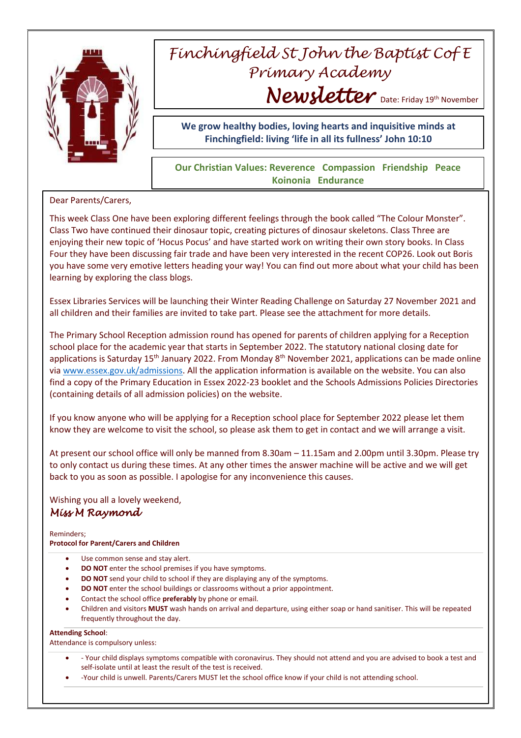

## *Finchingfield St John the Baptist Cof E Primary Academy* Newsletter Date: Friday 19th November

**We grow healthy bodies, loving hearts and inquisitive minds at Finchingfield: living 'life in all its fullness' John 10:10**

## **Our Christian Values: Reverence Compassion Friendship Peace Koinonia Endurance**

## Dear Parents/Carers,

This week Class One have been exploring different feelings through the book called "The Colour Monster". Class Two have continued their dinosaur topic, creating pictures of dinosaur skeletons. Class Three are enjoying their new topic of 'Hocus Pocus' and have started work on writing their own story books. In Class Four they have been discussing fair trade and have been very interested in the recent COP26. Look out Boris you have some very emotive letters heading your way! You can find out more about what your child has been learning by exploring the class blogs.

Essex Libraries Services will be launching their Winter Reading Challenge on Saturday 27 November 2021 and all children and their families are invited to take part. Please see the attachment for more details.

The Primary School Reception admission round has opened for parents of children applying for a Reception school place for the academic year that starts in September 2022. The statutory national closing date for applications is Saturday 15<sup>th</sup> January 2022. From Monday 8<sup>th</sup> November 2021, applications can be made online via [www.essex.gov.uk/admissions.](http://www.essex.gov.uk/admissions) All the application information is available on the website. You can also find a copy of the Primary Education in Essex 2022-23 booklet and the Schools Admissions Policies Directories (containing details of all admission policies) on the website.

If you know anyone who will be applying for a Reception school place for September 2022 please let them know they are welcome to visit the school, so please ask them to get in contact and we will arrange a visit.

At present our school office will only be manned from 8.30am – 11.15am and 2.00pm until 3.30pm. Please try to only contact us during these times. At any other times the answer machine will be active and we will get back to you as soon as possible. I apologise for any inconvenience this causes.

Wishing you all a lovely weekend, *Miss M Raymond* 

Reminders; **Protocol for Parent/Carers and Children**

- Use common sense and stay alert.
- **DO NOT** enter the school premises if you have symptoms.
- **DO NOT** send your child to school if they are displaying any of the symptoms.
- **DO NOT** enter the school buildings or classrooms without a prior appointment.
- Contact the school office **preferably** by phone or email.
- Children and visitors **MUST** wash hands on arrival and departure, using either soap or hand sanitiser. This will be repeated frequently throughout the day.

## **Attending School**:

Attendance is compulsory unless:

- Your child displays symptoms compatible with coronavirus. They should not attend and you are advised to book a test and self-isolate until at least the result of the test is received.
- -Your child is unwell. Parents/Carers MUST let the school office know if your child is not attending school.